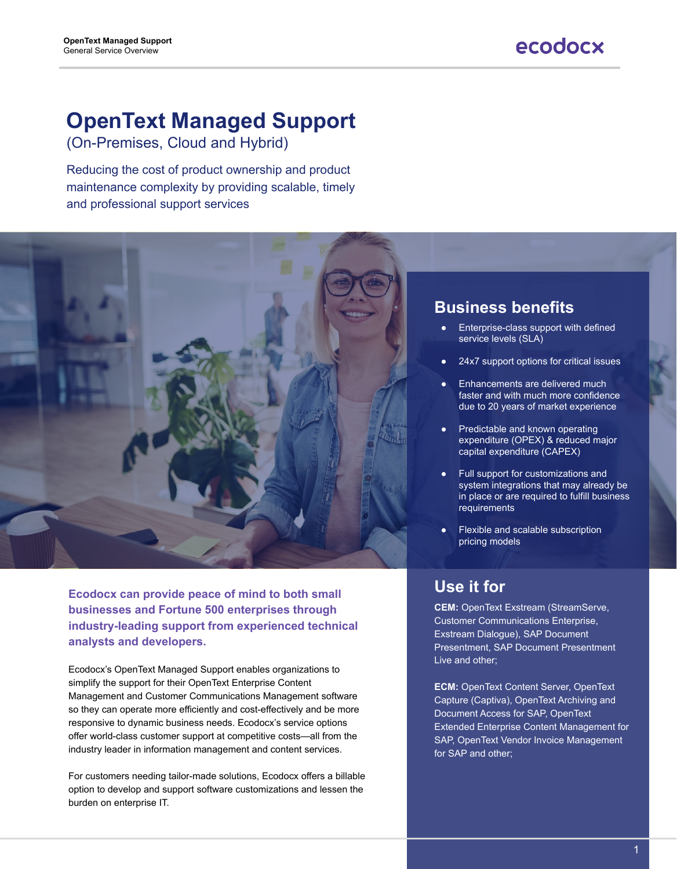# **OpenText Managed Support**

(On-Premises, Cloud and Hybrid)

Reducing the cost of product ownership and product maintenance complexity by providing scalable, timely and professional support services

**Ecodocx can provide peace of mind to both small businesses and Fortune 500 enterprises through industry-leading support from experienced technical analysts and developers.**

Ecodocx's OpenText Managed Support enables organizations to simplify the support for their OpenText Enterprise Content Management and Customer Communications Management software so they can operate more efficiently and cost-effectively and be more responsive to dynamic business needs. Ecodocx's service options offer world-class customer support at competitive costs—all from the industry leader in information management and content services.

For customers needing tailor-made solutions, Ecodocx offers a billable option to develop and support software customizations and lessen the burden on enterprise IT.



### **Use it for**

**CEM:** OpenText Exstream (StreamServe,

Customer Communications Enterprise, Exstream Dialogue), SAP Document Presentment, SAP Document Presentment Live and other;

**ECM:** OpenText Content Server, OpenText Capture (Captiva), OpenText Archiving and Document Access for SAP, OpenText Extended Enterprise Content Management for SAP, OpenText Vendor Invoice Management for SAP and other;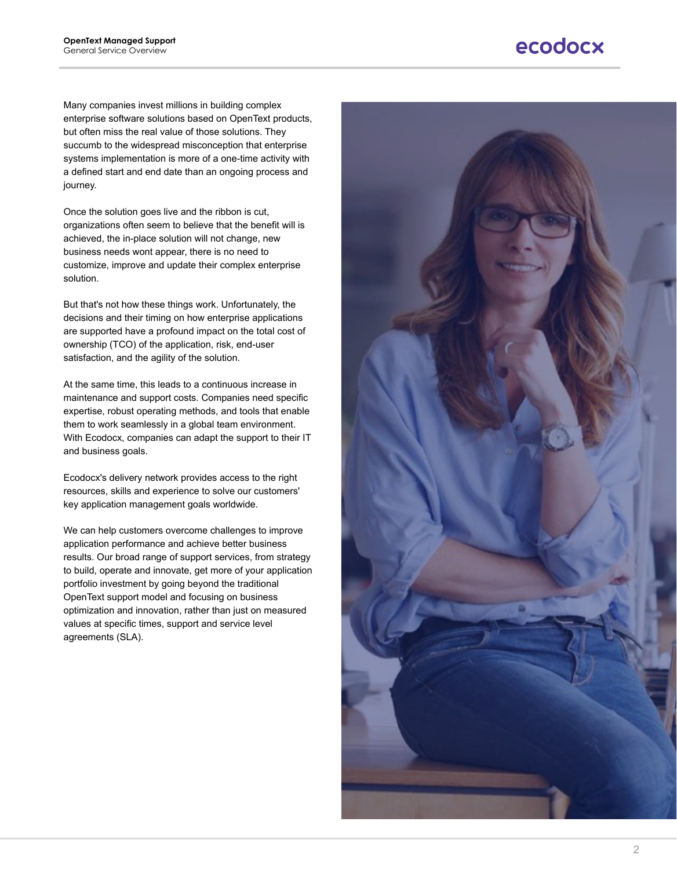Many companies invest millions in building complex enterprise software solutions based on OpenText products, but often miss the real value of those solutions. They succumb to the widespread misconception that enterprise systems implementation is more of a one-time activity with a defined start and end date than an ongoing process and journey.

Once the solution goes live and the ribbon is cut, organizations often seem to believe that the benefit will is achieved, the in-place solution will not change, new business needs wont appear, there is no need to customize, improve and update their complex enterprise solution.

But that's not how these things work. Unfortunately, the decisions and their timing on how enterprise applications are supported have a profound impact on the total cost of ownership (TCO) of the application, risk, end-user satisfaction, and the agility of the solution.

At the same time, this leads to a continuous increase in maintenance and support costs. Companies need specific expertise, robust operating methods, and tools that enable them to work seamlessly in a global team environment. With Ecodocx, companies can adapt the support to their IT and business goals.

Ecodocx's delivery network provides access to the right resources, skills and experience to solve our customers' key application management goals worldwide.

We can help customers overcome challenges to improve application performance and achieve better business results. Our broad range of support services, from strategy to build, operate and innovate, get more of your application portfolio investment by going beyond the traditional OpenText support model and focusing on business optimization and innovation, rather than just on measured values at specific times, support and service level agreements (SLA).

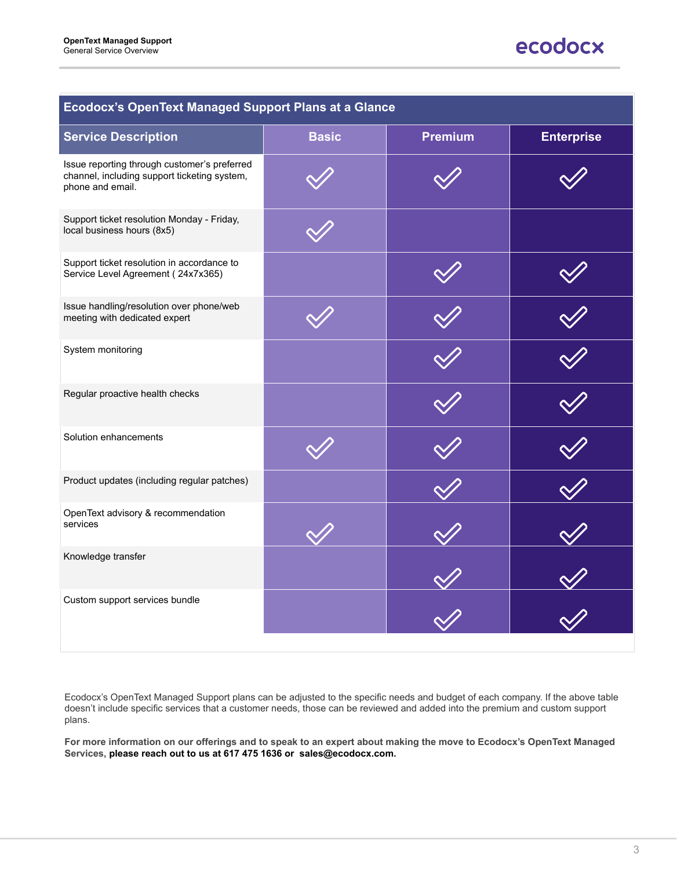| <b>Ecodocx's OpenText Managed Support Plans at a Glance</b>                                                      |              |                |                   |
|------------------------------------------------------------------------------------------------------------------|--------------|----------------|-------------------|
| <b>Service Description</b>                                                                                       | <b>Basic</b> | <b>Premium</b> | <b>Enterprise</b> |
| Issue reporting through customer's preferred<br>channel, including support ticketing system,<br>phone and email. |              |                |                   |
| Support ticket resolution Monday - Friday,<br>local business hours (8x5)                                         |              |                |                   |
| Support ticket resolution in accordance to<br>Service Level Agreement (24x7x365)                                 |              |                |                   |
| Issue handling/resolution over phone/web<br>meeting with dedicated expert                                        |              |                |                   |
| System monitoring                                                                                                |              |                |                   |
| Regular proactive health checks                                                                                  |              |                |                   |
| Solution enhancements                                                                                            |              |                |                   |
| Product updates (including regular patches)                                                                      |              |                |                   |
| OpenText advisory & recommendation<br>services                                                                   |              |                |                   |
| Knowledge transfer                                                                                               |              |                |                   |
| Custom support services bundle                                                                                   |              |                |                   |



Ecodocx's OpenText Managed Support plans can be adjusted to the specific needs and budget of each company. If the above table doesn't include specific services that a customer needs, those can be reviewed and added into the premium and custom support plans.

**For more information on our offerings and to speak to an expert about making the move to Ecodocx's OpenText Managed Services, please reach out to us at 617 475 1636 or sales@ecodocx.com.**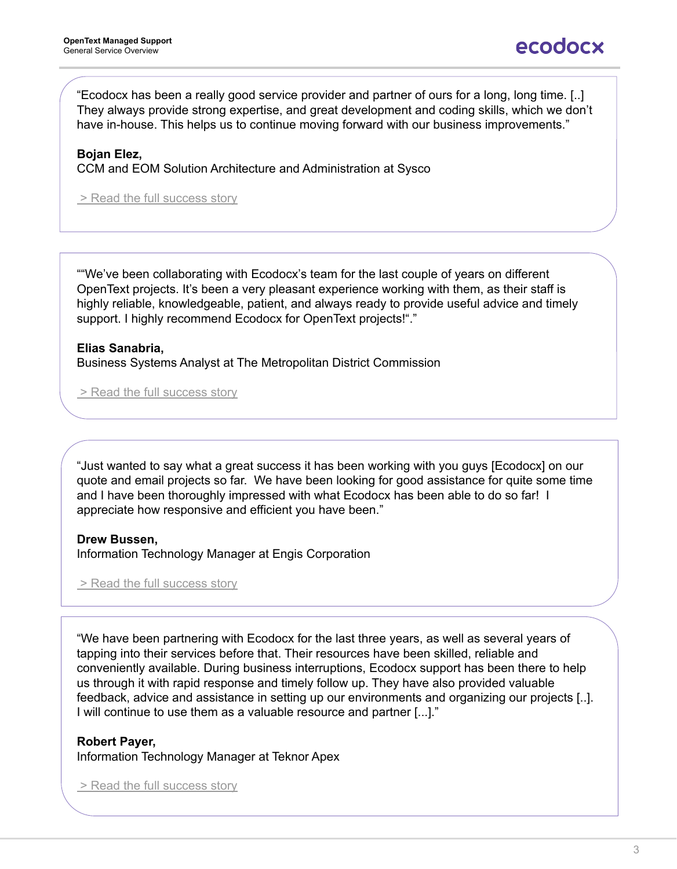"Just wanted to say what a great success it has been working with you guys [Ecodocx] on our quote and email projects so far. We have been looking for good assistance for quite some time and I have been thoroughly impressed with what Ecodocx has been able to do so far! I appreciate how responsive and efficient you have been."

#### **Drew Bussen,**

Information Technology Manager at Engis Corporation

> [Read the full success story](https://www.ecodocx.com/what-we-do/case-studies/)

"We have been partnering with Ecodocx for the last three years, as well as several years of tapping into their services before that. Their resources have been skilled, reliable and conveniently available. During business interruptions, Ecodocx support has been there to help us through it with rapid response and timely follow up. They have also provided valuable feedback, advice and assistance in setting up our environments and organizing our projects [..]. I will continue to use them as a valuable resource and partner [...]."

**Robert Payer,** Information Technology Manager at Teknor Apex

> Read the full success story

""We've been collaborating with Ecodocx's team for the last couple of years on different OpenText projects. It's been a very pleasant experience working with them, as their staff is highly reliable, knowledgeable, patient, and always ready to provide useful advice and timely support. I highly recommend Ecodocx for OpenText projects!"."

#### **Elias Sanabria,** Business Systems Analyst at The Metropolitan District Commission

> Read the full success story

"Ecodocx has been a really good service provider and partner of ours for a long, long time. [..] They always provide strong expertise, and great development and coding skills, which we don't have in-house. This helps us to continue moving forward with our business improvements."

#### **Bojan Elez,**

CCM and EOM Solution Architecture and Administration at Sysco

> [Read the full success story](https://www.ecodocx.com/what-we-do/case-studies/case-study-opentext-upgrade-and-move-to-aws-cloud-for-food-distribution-company/)